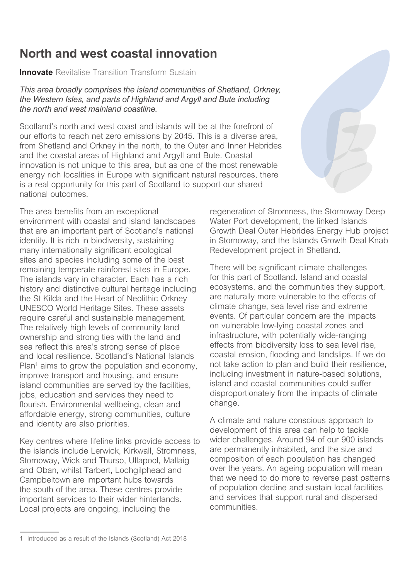## **North and west coastal innovation**

**Innovate** *Revitalise Transition Transform Sustain* 

*This area broadly comprises the island communities of Shetland, Orkney, the Western Isles, and parts of Highland and Argyll and Bute including the north and west mainland coastline.* 

Scotland's north and west coast and islands will be at the forefront of *our efforts to reach net zero emissions by 2045. This is a diverse area, from Shetland and Orkney in the north, to the Outer and Inner Hebrides and the coastal areas of Highland and Argyll and Bute. Coastal innovation is not unique to this area, but as one of the most renewable*  energy rich localities in Europe with significant natural resources, there *is a real opportunity for this part of Scotland to support our shared national outcomes.* 

*The area benefts from an exceptional environment with coastal and island landscapes that are an important part of Scotland's national identity. It is rich in biodiversity, sustaining many internationally signifcant ecological sites and species including some of the best remaining temperate rainforest sites in Europe. The islands vary in character. Each has a rich history and distinctive cultural heritage including the St Kilda and the Heart of Neolithic Orkney UNESCO World Heritage Sites. These assets require careful and sustainable management. The relatively high levels of community land ownership and strong ties with the land and sea refect this area's strong sense of place and local resilience. Scotland's National Islands Plan1 aims to grow the population and economy, improve transport and housing, and ensure island communities are served by the facilities, jobs, education and services they need to fourish. Environmental wellbeing, clean and affordable energy, strong communities, culture and identity are also priorities.* 

*Key centres where lifeline links provide access to the islands include Lerwick, Kirkwall, Stromness, Stornoway, Wick and Thurso, Ullapool, Mallaig and Oban, whilst Tarbert, Lochgilphead and Campbeltown are important hubs towards the south of the area. These centres provide important services to their wider hinterlands. Local projects are ongoing, including the* 



*regeneration of Stromness, the Stornoway Deep Water Port development, the linked Islands Growth Deal Outer Hebrides Energy Hub project in Stornoway, and the Islands Growth Deal Knab Redevelopment project in Shetland.* 

*There will be signifcant climate challenges for this part of Scotland. Island and coastal ecosystems, and the communities they support, are naturally more vulnerable to the effects of climate change, sea level rise and extreme events. Of particular concern are the impacts on vulnerable low-lying coastal zones and infrastructure, with potentially wide-ranging effects from biodiversity loss to sea level rise, coastal erosion, fooding and landslips. If we do not take action to plan and build their resilience, including investment in nature-based solutions, island and coastal communities could suffer disproportionately from the impacts of climate change.* 

*A climate and nature conscious approach to development of this area can help to tackle wider challenges. Around 94 of our 900 islands are permanently inhabited, and the size and composition of each population has changed over the years. An ageing population will mean that we need to do more to reverse past patterns of population decline and sustain local facilities and services that support rural and dispersed communities.* 

*<sup>1</sup> Introduced as a result of the Islands (Scotland) Act 2018*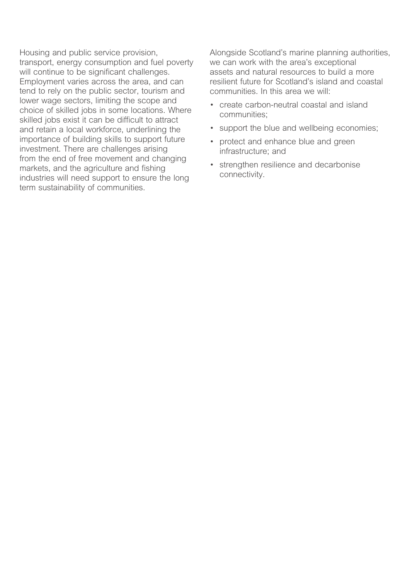*Housing and public service provision, transport, energy consumption and fuel poverty will continue to be signifcant challenges. Employment varies across the area, and can tend to rely on the public sector, tourism and lower wage sectors, limiting the scope and choice of skilled jobs in some locations. Where skilled jobs exist it can be diffcult to attract and retain a local workforce, underlining the importance of building skills to support future investment. There are challenges arising from the end of free movement and changing markets, and the agriculture and fshing industries will need support to ensure the long term sustainability of communities.* 

*Alongside Scotland's marine planning authorities, we can work with the area's exceptional assets and natural resources to build a more resilient future for Scotland's island and coastal communities. In this area we will:* 

- *create carbon-neutral coastal and island communities;*
- *support the blue and wellbeing economies;*
- *protect and enhance blue and green infrastructure; and*
- *strengthen resilience and decarbonise connectivity.*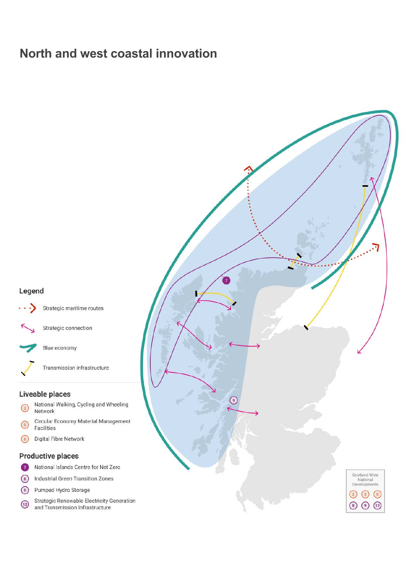# **North and west coastal innovation**

### Legend



Strategic connection

Blue economy

Transmission infrastructure

#### Liveable places

- National Walking, Cycling and Wheeling  $\binom{2}{2}$ Network
- Circular Economy Material Management  $\sqrt{5}$ Facilities
- Digital Fibre Network  $\odot$

#### **Productive places**

- National Islands Centre for Net Zero  $\bullet$
- $\circ$ **Industrial Green Transition Zones**
- $\odot$ Pumped Hydro Storage
- Strategic Renewable Electricity Generation  $\boxed{12}$ and Transmission Infrastructure

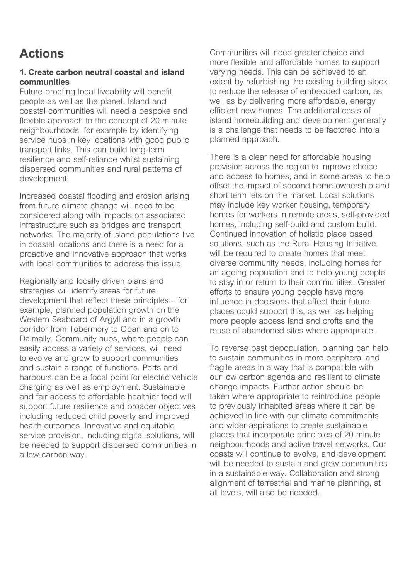# **Actions**

### **1. Create carbon neutral coastal and island communities**

*Future-proofng local liveability will beneft people as well as the planet. Island and coastal communities will need a bespoke and fexible approach to the concept of 20 minute neighbourhoods, for example by identifying service hubs in key locations with good public transport links. This can build long-term resilience and self-reliance whilst sustaining dispersed communities and rural patterns of development.* 

*Increased coastal fooding and erosion arising from future climate change will need to be considered along with impacts on associated infrastructure such as bridges and transport networks. The majority of island populations live in coastal locations and there is a need for a proactive and innovative approach that works with local communities to address this issue.* 

*Regionally and locally driven plans and strategies will identify areas for future development that refect these principles – for example, planned population growth on the Western Seaboard of Argyll and in a growth corridor from Tobermory to Oban and on to Dalmally. Community hubs, where people can easily access a variety of services, will need to evolve and grow to support communities and sustain a range of functions. Ports and harbours can be a focal point for electric vehicle charging as well as employment. Sustainable and fair access to affordable healthier food will support future resilience and broader objectives including reduced child poverty and improved health outcomes. Innovative and equitable service provision, including digital solutions, will be needed to support dispersed communities in a low carbon way.* 

*Communities will need greater choice and more fexible and affordable homes to support varying needs. This can be achieved to an extent by refurbishing the existing building stock to reduce the release of embedded carbon, as well as by delivering more affordable, energy effcient new homes. The additional costs of island homebuilding and development generally is a challenge that needs to be factored into a planned approach.* 

*There is a clear need for affordable housing provision across the region to improve choice and access to homes, and in some areas to help offset the impact of second home ownership and short term lets on the market. Local solutions may include key worker housing, temporary homes for workers in remote areas, self-provided homes, including self-build and custom build. Continued innovation of holistic place based solutions, such as the Rural Housing Initiative, will be required to create homes that meet diverse community needs, including homes for an ageing population and to help young people to stay in or return to their communities. Greater efforts to ensure young people have more infuence in decisions that affect their future places could support this, as well as helping more people access land and crofts and the reuse of abandoned sites where appropriate.* 

*To reverse past depopulation, planning can help to sustain communities in more peripheral and fragile areas in a way that is compatible with our low carbon agenda and resilient to climate change impacts. Further action should be taken where appropriate to reintroduce people to previously inhabited areas where it can be achieved in line with our climate commitments and wider aspirations to create sustainable places that incorporate principles of 20 minute neighbourhoods and active travel networks. Our coasts will continue to evolve, and development will be needed to sustain and grow communities in a sustainable way. Collaboration and strong alignment of terrestrial and marine planning, at all levels, will also be needed.*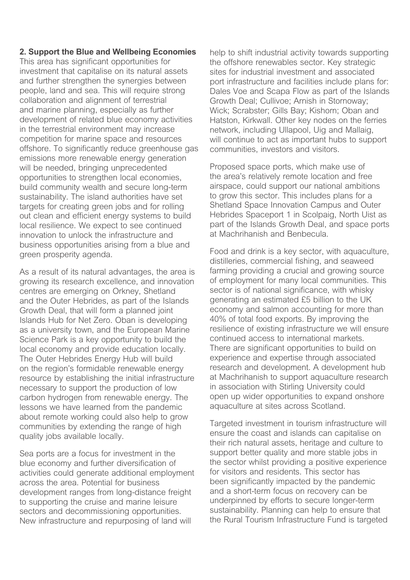#### **2. Support the Blue and Wellbeing Economies**

*This area has signifcant opportunities for investment that capitalise on its natural assets and further strengthen the synergies between people, land and sea. This will require strong collaboration and alignment of terrestrial and marine planning, especially as further development of related blue economy activities in the terrestrial environment may increase competition for marine space and resources offshore. To signifcantly reduce greenhouse gas emissions more renewable energy generation will be needed, bringing unprecedented opportunities to strengthen local economies, build community wealth and secure long-term sustainability. The island authorities have set targets for creating green jobs and for rolling out clean and effcient energy systems to build local resilience. We expect to see continued innovation to unlock the infrastructure and business opportunities arising from a blue and green prosperity agenda.* 

*As a result of its natural advantages, the area is growing its research excellence, and innovation centres are emerging on Orkney, Shetland and the Outer Hebrides, as part of the Islands Growth Deal, that will form a planned joint Islands Hub for Net Zero. Oban is developing as a university town, and the European Marine Science Park is a key opportunity to build the local economy and provide education locally. The Outer Hebrides Energy Hub will build on the region's formidable renewable energy resource by establishing the initial infrastructure necessary to support the production of low carbon hydrogen from renewable energy. The lessons we have learned from the pandemic about remote working could also help to grow communities by extending the range of high quality jobs available locally.* 

*Sea ports are a focus for investment in the blue economy and further diversifcation of activities could generate additional employment across the area. Potential for business development ranges from long-distance freight to supporting the cruise and marine leisure sectors and decommissioning opportunities. New infrastructure and repurposing of land will* 

*help to shift industrial activity towards supporting the offshore renewables sector. Key strategic sites for industrial investment and associated port infrastructure and facilities include plans for: Dales Voe and Scapa Flow as part of the Islands Growth Deal; Cullivoe; Arnish in Stornoway; Wick; Scrabster; Gills Bay; Kishorn; Oban and Hatston, Kirkwall. Other key nodes on the ferries network, including Ullapool, Uig and Mallaig, will continue to act as important hubs to support communities, investors and visitors.* 

*Proposed space ports, which make use of the area's relatively remote location and free airspace, could support our national ambitions to grow this sector. This includes plans for a Shetland Space Innovation Campus and Outer Hebrides Spaceport 1 in Scolpaig, North Uist as part of the Islands Growth Deal, and space ports at Machrihanish and Benbecula.* 

*Food and drink is a key sector, with aquaculture, distilleries, commercial fshing, and seaweed farming providing a crucial and growing source of employment for many local communities. This sector is of national signifcance, with whisky generating an estimated £5 billion to the UK economy and salmon accounting for more than 40% of total food exports. By improving the resilience of existing infrastructure we will ensure continued access to international markets. There are signifcant opportunities to build on experience and expertise through associated research and development. A development hub at Machrihanish to support aquaculture research in association with Stirling University could open up wider opportunities to expand onshore aquaculture at sites across Scotland.* 

*Targeted investment in tourism infrastructure will ensure the coast and islands can capitalise on their rich natural assets, heritage and culture to support better quality and more stable jobs in the sector whilst providing a positive experience for visitors and residents. This sector has been signifcantly impacted by the pandemic and a short-term focus on recovery can be underpinned by efforts to secure longer-term sustainability. Planning can help to ensure that the Rural Tourism Infrastructure Fund is targeted*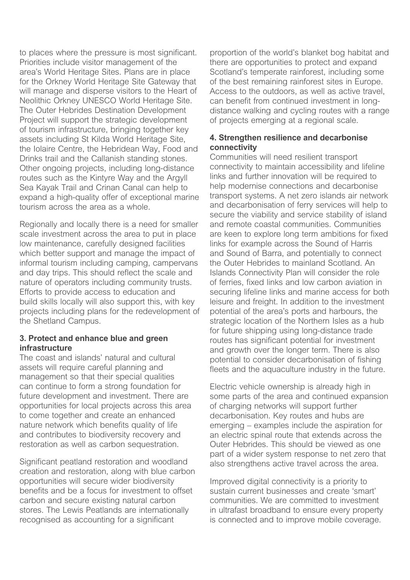*to places where the pressure is most signifcant. Priorities include visitor management of the area's World Heritage Sites. Plans are in place for the Orkney World Heritage Site Gateway that will manage and disperse visitors to the Heart of Neolithic Orkney UNESCO World Heritage Site. The Outer Hebrides Destination Development Project will support the strategic development of tourism infrastructure, bringing together key assets including St Kilda World Heritage Site, the Iolaire Centre, the Hebridean Way, Food and Drinks trail and the Callanish standing stones. Other ongoing projects, including long-distance routes such as the Kintyre Way and the Argyll Sea Kayak Trail and Crinan Canal can help to expand a high-quality offer of exceptional marine tourism across the area as a whole.* 

*Regionally and locally there is a need for smaller scale investment across the area to put in place low maintenance, carefully designed facilities which better support and manage the impact of informal tourism including camping, campervans and day trips. This should refect the scale and nature of operators including community trusts. Efforts to provide access to education and build skills locally will also support this, with key projects including plans for the redevelopment of the Shetland Campus.* 

### **3. Protect and enhance blue and green infrastructure**

*The coast and islands' natural and cultural assets will require careful planning and management so that their special qualities can continue to form a strong foundation for future development and investment. There are opportunities for local projects across this area to come together and create an enhanced nature network which benefts quality of life and contributes to biodiversity recovery and restoration as well as carbon sequestration.* 

*Signifcant peatland restoration and woodland creation and restoration, along with blue carbon opportunities will secure wider biodiversity benefts and be a focus for investment to offset carbon and secure existing natural carbon stores. The Lewis Peatlands are internationally recognised as accounting for a signifcant* 

*proportion of the world's blanket bog habitat and there are opportunities to protect and expand Scotland's temperate rainforest, including some of the best remaining rainforest sites in Europe. Access to the outdoors, as well as active travel, can beneft from continued investment in longdistance walking and cycling routes with a range of projects emerging at a regional scale.* 

## **4. Strengthen resilience and decarbonise connectivity**

*Communities will need resilient transport connectivity to maintain accessibility and lifeline links and further innovation will be required to help modernise connections and decarbonise transport systems. A net zero islands air network and decarbonisation of ferry services will help to secure the viability and service stability of island and remote coastal communities. Communities are keen to explore long term ambitions for fxed links for example across the Sound of Harris and Sound of Barra, and potentially to connect the Outer Hebrides to mainland Scotland. An Islands Connectivity Plan will consider the role of ferries, fxed links and low carbon aviation in securing lifeline links and marine access for both leisure and freight. In addition to the investment potential of the area's ports and harbours, the strategic location of the Northern Isles as a hub for future shipping using long-distance trade routes has signifcant potential for investment and growth over the longer term. There is also potential to consider decarbonisation of fshing feets and the aquaculture industry in the future.* 

*Electric vehicle ownership is already high in some parts of the area and continued expansion of charging networks will support further decarbonisation. Key routes and hubs are emerging – examples include the aspiration for an electric spinal route that extends across the Outer Hebrides. This should be viewed as one part of a wider system response to net zero that also strengthens active travel across the area.* 

*Improved digital connectivity is a priority to sustain current businesses and create 'smart' communities. We are committed to investment in ultrafast broadband to ensure every property is connected and to improve mobile coverage.*